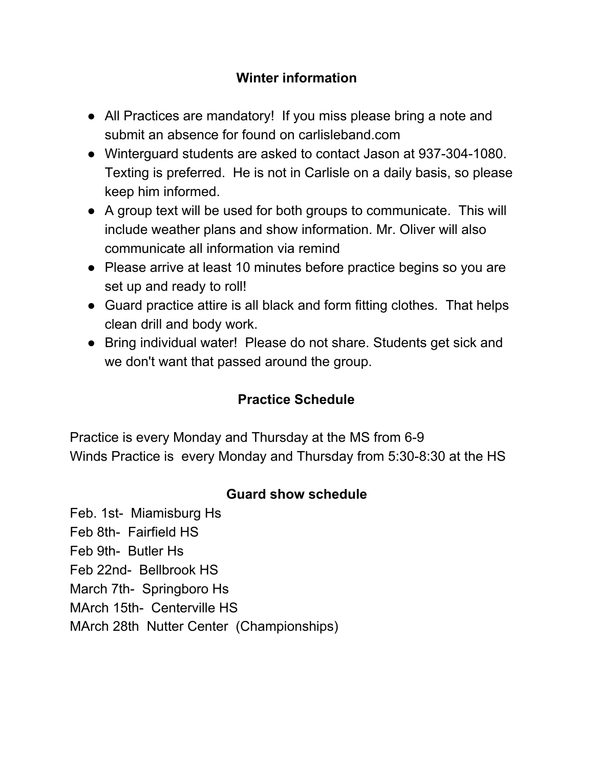## **Winter information**

- All Practices are mandatory! If you miss please bring a note and submit an absence for found on carlisleband.com
- Winterguard students are asked to contact Jason at 937-304-1080. Texting is preferred. He is not in Carlisle on a daily basis, so please keep him informed.
- A group text will be used for both groups to communicate. This will include weather plans and show information. Mr. Oliver will also communicate all information via remind
- Please arrive at least 10 minutes before practice begins so you are set up and ready to roll!
- Guard practice attire is all black and form fitting clothes. That helps clean drill and body work.
- Bring individual water! Please do not share. Students get sick and we don't want that passed around the group.

## **Practice Schedule**

Practice is every Monday and Thursday at the MS from 6-9 Winds Practice is every Monday and Thursday from 5:30-8:30 at the HS

## **Guard show schedule**

Feb. 1st- Miamisburg Hs Feb 8th- Fairfield HS Feb 9th- Butler Hs Feb 22nd- Bellbrook HS March 7th- Springboro Hs MArch 15th- Centerville HS MArch 28th Nutter Center (Championships)